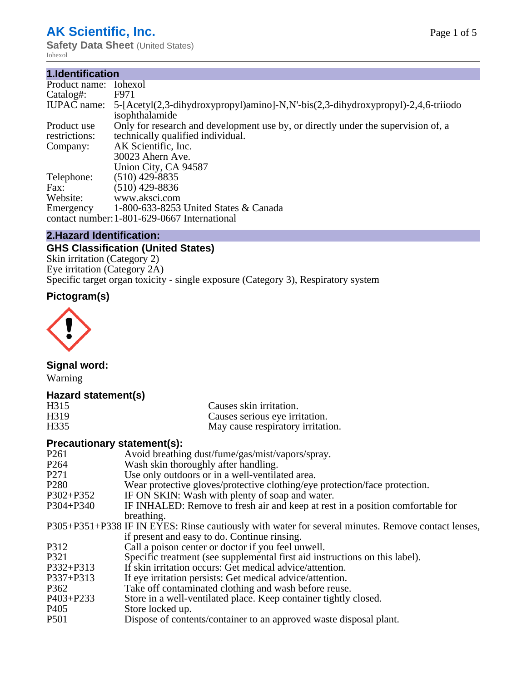## **AK Scientific, Inc.**

**Safety Data Sheet (United States)** Iohexol

#### **1.Identification**

| Product name:                | Iohexol                                                                                                                |
|------------------------------|------------------------------------------------------------------------------------------------------------------------|
| Catalog#:                    | F971                                                                                                                   |
| <b>IUPAC</b> name:           | 5-[Acetyl(2,3-dihydroxypropyl)amino]-N,N'-bis(2,3-dihydroxypropyl)-2,4,6-triiodo<br>isophthalamide                     |
| Product use<br>restrictions: | Only for research and development use by, or directly under the supervision of, a<br>technically qualified individual. |
| Company:                     | AK Scientific, Inc.<br>30023 Ahern Ave.<br>Union City, CA 94587                                                        |
| Telephone:                   | $(510)$ 429-8835                                                                                                       |
| Fax:                         | $(510)$ 429-8836                                                                                                       |
| Website:                     | www.aksci.com                                                                                                          |
| Emergency                    | 1-800-633-8253 United States & Canada<br>contact number: 1-801-629-0667 International                                  |

#### **2.Hazard Identification:**

#### **GHS Classification (United States)**

Skin irritation (Category 2) Eye irritation (Category 2A) Specific target organ toxicity - single exposure (Category 3), Respiratory system

### **Pictogram(s)**



#### **Signal word:**

Warning

#### **Hazard statement(s)**

| H315              | Causes skin irritation.           |
|-------------------|-----------------------------------|
| H <sub>3</sub> 19 | Causes serious eye irritation.    |
| H <sub>335</sub>  | May cause respiratory irritation. |

#### **Precautionary statement(s):**

| P <sub>261</sub> | Avoid breathing dust/fume/gas/mist/vapors/spray.                                                   |
|------------------|----------------------------------------------------------------------------------------------------|
| P <sub>264</sub> | Wash skin thoroughly after handling.                                                               |
| P <sub>271</sub> | Use only outdoors or in a well-ventilated area.                                                    |
| P <sub>280</sub> | Wear protective gloves/protective clothing/eye protection/face protection.                         |
| P302+P352        | IF ON SKIN: Wash with plenty of soap and water.                                                    |
| $P304 + P340$    | IF INHALED: Remove to fresh air and keep at rest in a position comfortable for                     |
|                  | breathing.                                                                                         |
|                  | P305+P351+P338 IF IN EYES: Rinse cautiously with water for several minutes. Remove contact lenses, |
|                  | if present and easy to do. Continue rinsing.                                                       |
| P312             | Call a poison center or doctor if you feel unwell.                                                 |
| P321             | Specific treatment (see supplemental first aid instructions on this label).                        |
| P332+P313        | If skin irritation occurs: Get medical advice/attention.                                           |
| P337+P313        | If eye irritation persists: Get medical advice/attention.                                          |
| P362             | Take off contaminated clothing and wash before reuse.                                              |
| P403+P233        | Store in a well-ventilated place. Keep container tightly closed.                                   |
| P <sub>405</sub> | Store locked up.                                                                                   |
| P <sub>501</sub> | Dispose of contents/container to an approved waste disposal plant.                                 |
|                  |                                                                                                    |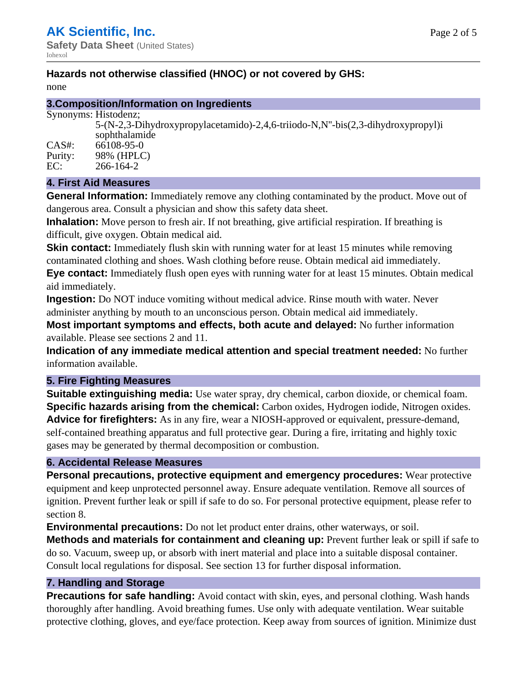#### **Hazards not otherwise classified (HNOC) or not covered by GHS:**

none

#### **3.Composition/Information on Ingredients**

Synonyms: Histodenz;

|         | 5-(N-2,3-Dihydroxypropylacetamido)-2,4,6-triiodo-N,N"-bis(2,3-dihydroxypropyl)i<br>sophthalamide |
|---------|--------------------------------------------------------------------------------------------------|
| CAS#:   | 66108-95-0                                                                                       |
| Purity: | 98% (HPLC)                                                                                       |
| EC:     | 266-164-2                                                                                        |
|         |                                                                                                  |

#### **4. First Aid Measures**

**General Information:** Immediately remove any clothing contaminated by the product. Move out of dangerous area. Consult a physician and show this safety data sheet.

**Inhalation:** Move person to fresh air. If not breathing, give artificial respiration. If breathing is difficult, give oxygen. Obtain medical aid.

**Skin contact:** Immediately flush skin with running water for at least 15 minutes while removing contaminated clothing and shoes. Wash clothing before reuse. Obtain medical aid immediately.

**Eye contact:** Immediately flush open eyes with running water for at least 15 minutes. Obtain medical aid immediately.

**Ingestion:** Do NOT induce vomiting without medical advice. Rinse mouth with water. Never administer anything by mouth to an unconscious person. Obtain medical aid immediately.

**Most important symptoms and effects, both acute and delayed:** No further information available. Please see sections 2 and 11.

**Indication of any immediate medical attention and special treatment needed:** No further information available.

#### **5. Fire Fighting Measures**

**Suitable extinguishing media:** Use water spray, dry chemical, carbon dioxide, or chemical foam. **Specific hazards arising from the chemical:** Carbon oxides, Hydrogen iodide, Nitrogen oxides. **Advice for firefighters:** As in any fire, wear a NIOSH-approved or equivalent, pressure-demand, self-contained breathing apparatus and full protective gear. During a fire, irritating and highly toxic gases may be generated by thermal decomposition or combustion.

#### **6. Accidental Release Measures**

**Personal precautions, protective equipment and emergency procedures:** Wear protective equipment and keep unprotected personnel away. Ensure adequate ventilation. Remove all sources of ignition. Prevent further leak or spill if safe to do so. For personal protective equipment, please refer to section 8.

**Environmental precautions:** Do not let product enter drains, other waterways, or soil.

**Methods and materials for containment and cleaning up:** Prevent further leak or spill if safe to do so. Vacuum, sweep up, or absorb with inert material and place into a suitable disposal container. Consult local regulations for disposal. See section 13 for further disposal information.

#### **7. Handling and Storage**

**Precautions for safe handling:** Avoid contact with skin, eyes, and personal clothing. Wash hands thoroughly after handling. Avoid breathing fumes. Use only with adequate ventilation. Wear suitable protective clothing, gloves, and eye/face protection. Keep away from sources of ignition. Minimize dust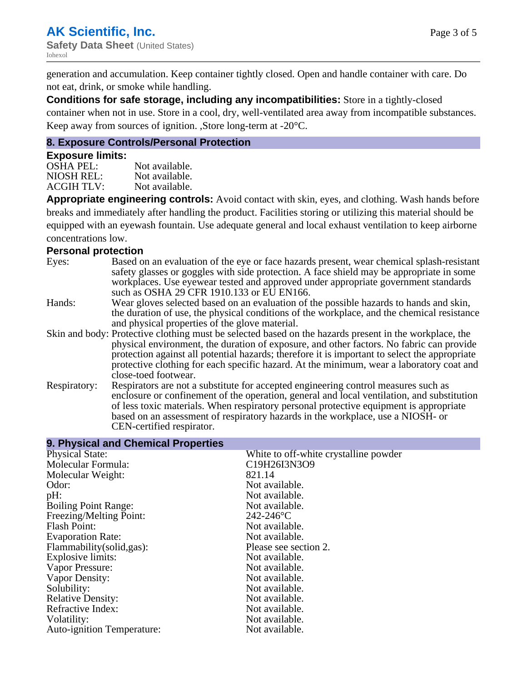generation and accumulation. Keep container tightly closed. Open and handle container with care. Do not eat, drink, or smoke while handling.

**Conditions for safe storage, including any incompatibilities:** Store in a tightly-closed container when not in use. Store in a cool, dry, well-ventilated area away from incompatible substances. Keep away from sources of ignition. ,Store long-term at -20°C.

#### **8. Exposure Controls/Personal Protection**

#### **Exposure limits:**

| <b>OSHA PEL:</b>  | Not available. |
|-------------------|----------------|
| NIOSH REL:        | Not available. |
| <b>ACGIH TLV:</b> | Not available. |

**Appropriate engineering controls:** Avoid contact with skin, eyes, and clothing. Wash hands before breaks and immediately after handling the product. Facilities storing or utilizing this material should be equipped with an eyewash fountain. Use adequate general and local exhaust ventilation to keep airborne concentrations low.

#### **Personal protection**

| Eyes:        | Based on an evaluation of the eye or face hazards present, wear chemical splash-resistant<br>safety glasses or goggles with side protection. A face shield may be appropriate in some<br>workplaces. Use eyewear tested and approved under appropriate government standards<br>such as OSHA 29 CFR 1910.133 or EU EN166.                                                                                                |
|--------------|-------------------------------------------------------------------------------------------------------------------------------------------------------------------------------------------------------------------------------------------------------------------------------------------------------------------------------------------------------------------------------------------------------------------------|
| Hands:       | Wear gloves selected based on an evaluation of the possible hazards to hands and skin,<br>the duration of use, the physical conditions of the workplace, and the chemical resistance<br>and physical properties of the glove material.                                                                                                                                                                                  |
|              | Skin and body: Protective clothing must be selected based on the hazards present in the workplace, the<br>physical environment, the duration of exposure, and other factors. No fabric can provide<br>protection against all potential hazards; therefore it is important to select the appropriate<br>protective clothing for each specific hazard. At the minimum, wear a laboratory coat and<br>close-toed footwear. |
| Respiratory: | Respirators are not a substitute for accepted engineering control measures such as<br>enclosure or confinement of the operation, general and local ventilation, and substitution<br>of less toxic materials. When respiratory personal protective equipment is appropriate<br>based on an assessment of respiratory hazards in the workplace, use a NIOSH- or<br>CEN-certified respirator.                              |

| 9. Physical and Chemical Properties |                                       |
|-------------------------------------|---------------------------------------|
| <b>Physical State:</b>              | White to off-white crystalline powder |
| Molecular Formula:                  | C19H26I3N3O9                          |
| Molecular Weight:                   | 821.14                                |
| Odor:                               | Not available.                        |
| pH:                                 | Not available.                        |
| <b>Boiling Point Range:</b>         | Not available.                        |
| Freezing/Melting Point:             | $242 - 246$ °C                        |
| <b>Flash Point:</b>                 | Not available.                        |
| <b>Evaporation Rate:</b>            | Not available.                        |
| Flammability (solid, gas):          | Please see section 2.                 |
| Explosive limits:                   | Not available.                        |
| Vapor Pressure:                     | Not available.                        |
| Vapor Density:                      | Not available.                        |
| Solubility:                         | Not available.                        |
| <b>Relative Density:</b>            | Not available.                        |
| Refractive Index:                   | Not available.                        |
| Volatility:                         | Not available.                        |
| <b>Auto-ignition Temperature:</b>   | Not available.                        |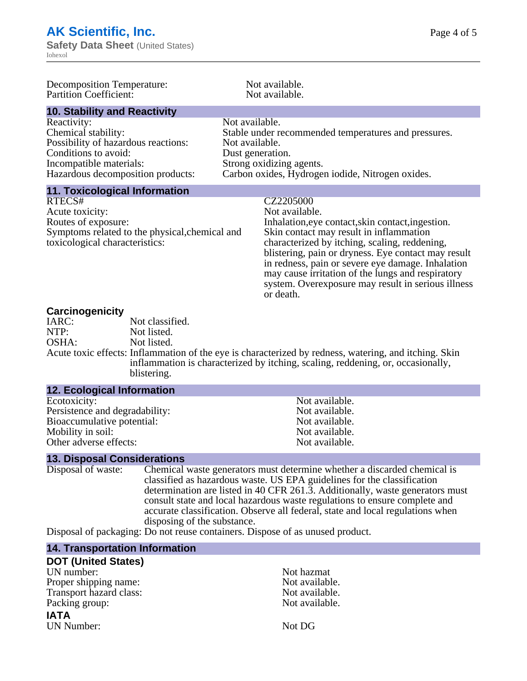**Safety Data Sheet (United States)** Iohexol

| Decomposition Temperature:<br><b>Partition Coefficient:</b>                                                                                                       | Not available.<br>Not available.                                                                                                                                                                                                                                                                                                                                                                                 |  |
|-------------------------------------------------------------------------------------------------------------------------------------------------------------------|------------------------------------------------------------------------------------------------------------------------------------------------------------------------------------------------------------------------------------------------------------------------------------------------------------------------------------------------------------------------------------------------------------------|--|
| <b>10. Stability and Reactivity</b>                                                                                                                               |                                                                                                                                                                                                                                                                                                                                                                                                                  |  |
| Reactivity:<br>Chemical stability:<br>Possibility of hazardous reactions:<br>Conditions to avoid:<br>Incompatible materials:<br>Hazardous decomposition products: | Not available.<br>Stable under recommended temperatures and pressures.<br>Not available.<br>Dust generation.<br>Strong oxidizing agents.<br>Carbon oxides, Hydrogen iodide, Nitrogen oxides.                                                                                                                                                                                                                     |  |
| <b>11. Toxicological Information</b>                                                                                                                              |                                                                                                                                                                                                                                                                                                                                                                                                                  |  |
| RTECS#<br>Acute toxicity:<br>Routes of exposure:<br>Symptoms related to the physical, chemical and<br>toxicological characteristics:                              | CZ2205000<br>Not available.<br>Inhalation, eye contact, skin contact, ingestion.<br>Skin contact may result in inflammation<br>characterized by itching, scaling, reddening,<br>blistering, pain or dryness. Eye contact may result<br>in redness, pain or severe eye damage. Inhalation<br>may cause irritation of the lungs and respiratory<br>system. Overexposure may result in serious illness<br>or death. |  |
| Carcinogenicity                                                                                                                                                   |                                                                                                                                                                                                                                                                                                                                                                                                                  |  |

| IARC: | Not classified.                                                                                       |
|-------|-------------------------------------------------------------------------------------------------------|
| NTP:  | Not listed.                                                                                           |
| OSHA: | Not listed.                                                                                           |
|       | Acute toxic effects: Inflammation of the eye is characterized by redness, watering, and itching. Skin |
|       | inflammation is characterized by itching, scaling, reddening, or, occasionally,                       |
|       | blistering.                                                                                           |

| <b>12. ECOlogical Information</b> |                |
|-----------------------------------|----------------|
| Ecotoxicity:                      | Not available. |
| Persistence and degradability:    | Not available. |
| Bioaccumulative potential:        | Not available. |
| Mobility in soil:                 | Not available. |
| Other adverse effects:            | Not available. |

# **13. Disposal Considerations**

**12. Ecological Information**

Chemical waste generators must determine whether a discarded chemical is classified as hazardous waste. US EPA guidelines for the classification determination are listed in 40 CFR 261.3. Additionally, waste generators must consult state and local hazardous waste regulations to ensure complete and accurate classification. Observe all federal, state and local regulations when disposing of the substance.

Disposal of packaging: Do not reuse containers. Dispose of as unused product.

#### **14. Transportation Information**

| <b>DOT (United States)</b> |                |
|----------------------------|----------------|
| UN number:                 | Not hazmat     |
| Proper shipping name:      | Not available. |
| Transport hazard class:    | Not available. |
| Packing group:             | Not available. |
| <b>IATA</b>                |                |
| UN Number:                 | Not DG         |